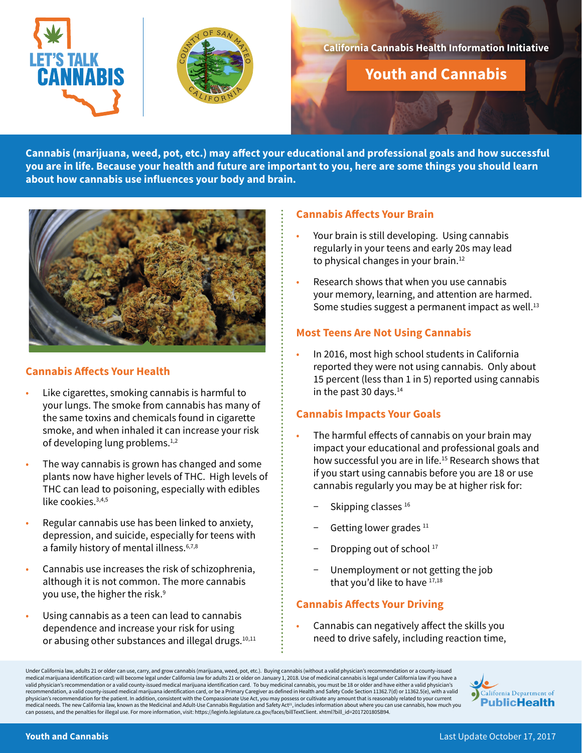



## **California Cannabis Health Information Initiative**

**Youth and Cannabis**

**Cannabis (marijuana, weed, pot, etc.) may affect your educational and professional goals and how successful you are in life. Because your health and future are important to you, here are some things you should learn about how cannabis use influences your body and brain.** 



# **Cannabis Affects Your Health**

- Like cigarettes, smoking cannabis is harmful to your lungs. The smoke from cannabis has many of the same toxins and chemicals found in cigarette smoke, and when inhaled it can increase your risk of developing lung problems.<sup>1,2</sup>
- The way cannabis is grown has changed and some plants now have higher levels of THC. High levels of THC can lead to poisoning, especially with edibles like cookies.<sup>3,4,5</sup>
- Regular cannabis use has been linked to anxiety, depression, and suicide, especially for teens with a family history of mental illness.<sup>6,7,8</sup>
- Cannabis use increases the risk of schizophrenia, although it is not common. The more cannabis you use, the higher the risk.<sup>9</sup>
- Using cannabis as a teen can lead to cannabis dependence and increase your risk for using or abusing other substances and illegal drugs.<sup>10,11</sup>

## **Cannabis Affects Your Brain**

- Your brain is still developing. Using cannabis regularly in your teens and early 20s may lead to physical changes in your brain.<sup>12</sup>
- Research shows that when you use cannabis your memory, learning, and attention are harmed. Some studies suggest a permanent impact as well. $13$

## **Most Teens Are Not Using Cannabis**

• In 2016, most high school students in California reported they were not using cannabis. Only about 15 percent (less than 1 in 5) reported using cannabis in the past 30 days.<sup>14</sup>

### **Cannabis Impacts Your Goals**

- The harmful effects of cannabis on your brain may impact your educational and professional goals and how successful you are in life.15 Research shows that if you start using cannabis before you are 18 or use cannabis regularly you may be at higher risk for:
	- Skipping classes<sup>16</sup>
	- Getting lower grades <sup>11</sup>
	- Dropping out of school 17
	- Unemployment or not getting the job that you'd like to have 17,18

# **Cannabis Affects Your Driving**

• Cannabis can negatively affect the skills you need to drive safely, including reaction time,

Under California law, adults 21 or older can use, carry, and grow cannabis (marijuana, weed, pot, etc.). Buying cannabis (without a valid physician's recommendation or a county-issued medical marijuana identification card) will become legal under California law for adults 21 or older on January 1, 2018. Use of medicinal cannabis is legal under California law if you have a<br>valid physician's recommendatio recommendation, a valid county-issued medical marijuana identification card, or be a Primary Caregiver as defined in Health and Safety Code Section 11362.7(d) or 11362.5(e), with a valid<br>physician's recommendation for the medical needs. The new California law, known as the Medicinal and Adult-Use Cannabis Regulation and Safety Act<sup>21</sup>, includes information about where you can use cannabis, how much you can possess, and the penalties for illegal use. For more information, visit: https://leginfo.legislature.ca.gov/faces/billTextClient. xhtml?bill\_id=201720180SB94.